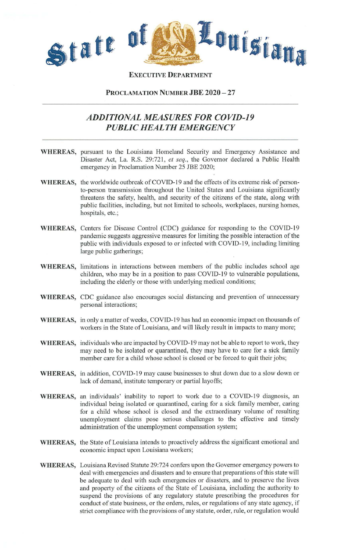

**EXECUTIVE DEPARTMENT** 

## **PROCLAMATION NUMBER JBE 2020 - 27**

## *ADDITIONAL MEASURES FOR COVID-19 PUBLIC HEALTH EMERGENCY*

- **WHEREAS,** pursuant to the Louisiana Homeland Security and Emergency Assistance and Disaster Act, La. R,S. 29:721, *et seq.,* the Governor declared a Public Health emergency in Proclamation Number 25 JBE 2020;
- **WHEREAS,** the worldwide outbreak of COVID-19 and the effects of its extreme risk of personto-person transmission throughout the United States and Louisiana significantly threatens the safety, health, and security of the citizens of the state, along with public facilities, including, but not limited to schools, workplaces, nursing homes, hospitals, etc.;
- WHEREAS, Centers for Disease Control (CDC) guidance for responding to the COVID-19 pandemic suggests aggressive measures for limiting the possible interaction of the public with individuals exposed to or infected with COVID-19, including limiting large public gatherings;
- **WHEREAS,** limitations in interactions between members of the public includes school age children, who may be in a position to pass COVID-19 to vulnerable populations, including the elderly or those with underlying medical conditions;
- WHEREAS, CDC guidance also encourages social distancing and prevention of unnecessary personal interactions;
- WHEREAS, in only a matter of weeks, COVID-19 has had an economic impact on thousands of workers in the State of Louisiana, and will likely result in impacts to many more;
- **WHEREAS,** individuals who are impacted by COVID-19 may not be able to report to work, they may need to be isolated or quarantined, they may have to care for a sick family member care for a child whose school is closed or be forced to quit their jobs;
- **WHEREAS,** in addition, COVID-19 may cause businesses to shut down due to a slow down or lack of demand, institute temporary or partial layoffs;
- WHEREAS, an individuals' inability to report to work due to a COVID-19 diagnosis, an individual being isolated or quarantined, caring for a sick family member, caring for a child whose school is closed and the extraordinary volume of resulting unemployment claims pose serious challenges to the effective and timely administration of the unemployment compensation system;
- **WHEREAS,** the State of Louisiana intends to proactively address the significant emotional and economic impact upon Louisiana workers;
- **WHEREAS,** Louisiana Revised Statute 29:724 confers upon the Govemor emergency powers to deal with emergencies and disasters and to ensure that preparations of this state will be adequate to deal with such emergencies or disasters, and to preserve the lives and property of the citizens of the State of Louisiana, including the authority to suspend the provisions of any regulatory statute prescribing the procedures for conduct of state business, or the orders, rules, or regulations of any state agency, if strict compliance with the provisions of any statute, order, rule, or regulation would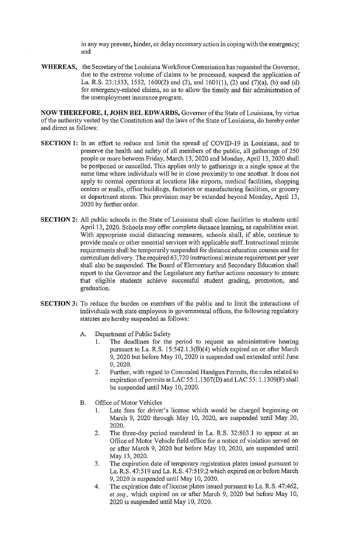in any way prevent, hinder, or delay necessary action in coping with the emergency; and

**WHEREAS,** the Secretary of the Louisiana Workforce Commission has requested the Governor, due to the extreme volume of claims to be processed, suspend the application of La. R.S. 23:1533, 1552, 1600(2) and (3), and 1601(1), (2) and (7)(a), (b) and (d) for emergency-related claims, so as to allow the timely and fair administration of the unemployment insurance program. .

**NOW THEREFORE, I, JOHN BEL EDWARDS,** Governor of the State of Louisiana, by virtue of the authority vested by the Constitution and the laws of the State of Louisiana, do hereby order and direct as follows:

- **SECTION 1:** In an effort to reduce and limit the spread of COVID-19 in Louisiana, and to preserve the health and safety of all members of the public, all gatherings of 250 people or more between Friday, March 13,2020 and Monday, April 13, 2020 shall be postponed or cancelled. This applies only to gatherings in a single space at the same time where individuals will be in close proximity to one another. It does not apply to normal operations at locations like airports, medical facilities, shopping centers or malls, office buildings, factories or manufacturing facilities, or grocery or department stores. This provision may be extended beyond Monday, April 13, 2020 by further order.
- **SECTION 2:** All public schools in the State of Louisiana shall close facilities to students until April 13, 2020. Schools may offer complete distance learning, as capabilities exist. With appropriate social distancing measures, schools shall, if able, continue to provide meals or other essential services with applicable staff. Instructional minute requirements shall be temporarily suspended for distance education courses and for curriculum delivery. The required 63,720 instructional minute requirement per year shall also be suspended. The Board of Elementary and Secondary Education shall report to the Governor and the Legislature any further actions necessary to ensure that eligible students achieve successful student grading, promotion, and graduation.
- **SECTION 3:** To reduce the burden on members of the public and to limit the interactions of individuals with state employees in governmental offices, the following regulatory statutes are hereby suspended as follows:
	- A. Department of Public Safety
		- 1. The deadlines for the period to request an administrative hearing pursuant to La. R.S. 15:542.1.3(B)(4) which expired on or after March 9,2020 but before May 10,2020 is suspended and extended until June 9,2020.
		- 2. Further, with regard to Concealed Handgun Permits, the rules related to expiration of permits at LAC 55:1.1307(D) and LAC 55:1.1309(F) shall be suspended until May 10, 2020.
	- B. Office of Motor Vehicles
		- 1. Late fees for driver's license which would be charged beginning on March 9, 2020 through May 10, 2020, are suspended until May 20, 2020.
		- 2. The three-day period mandated in La. R.S. 32:863.1 to appear at an Office of Motor Vehicle field office for a notice of violation served on or after March 9, 2020 but before May 10, 2020, are suspended until May 13, 2020.
		- 3. The expiration date of temporary registration plates issued pursuant to La. R.S. 47:519 and La. R.S. 47:519.2 which expired on or before March 9,2020 is suspended until May 10,2020.
		- 4. The expiration date of license plates issued pursuant to La. R.S. 47:462, *et seq.,* which expired on or after March 9, 2020 but before May 10, 2020 is suspended until May 10, 2020.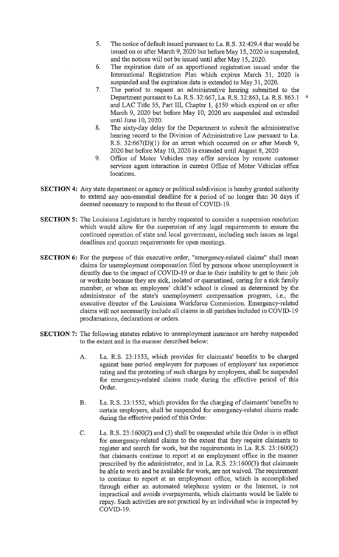- 5. The notice of default issued pursuant to La. R.S. 32:429.4 that would be issued on or after March 9, 2020 but before May IS, 2020 is suspended, and the notices will not be issued until after May IS, 2020.
- 6. The expiration date of an apportioned registration issued under the International Registration Plan which expires March 31, 2020 is suspended and the expiration date is extended to May 31, 2020.
- 7. The period to request an administrative hearing submitted to the Department pursuant to La. R.S. 32:667, La. R.S. 32:863, La. R.S. 863.1 and LAC Title 55, Part III, Chapter I, § 159 which expired on or after March 9, 2020 but before May 10, 2020 are suspended and extended until June 10, 2020.
- 8. The sixty-day delay for the Department to submit the administrative hearing record to the Division of Administrative Law pursuant to La. R.S. 32:667(D)(1) for an arrest which occurred on or after March 9, 2020 but before May 10, 2020 is extended until August 8, 2020
- 9. Office of Motor Vehicles may offer services by remote customer services agent interaction in current Office of Motor Vehicles office locations.
- SECTION 4: Any state department or agency or political subdivision is hereby granted authority to extend any non-essential deadline for a period of no longer than 30 days if deemed necessary to respond to the threat of COVID-19.
- SECTION 5: The Louisiana Legislature is hereby requested to consider a suspension resolution which would allow for the suspension of any legal requirements to ensure the continued operation of state and local government, including such issues as legal deadlines and quorum requirements for open meetings.
- SECTION 6: For the purpose of this executive order, "emergency-related claims" shall mean claims for unemployment compensation filed by persons whose unemployment is directly due to the impact of COVID-19 or due to their inability to get to their job or worksite because they are sick, isolated or quarantined, caring for a sick family member, or when an employees' child's school is closed as detennined by the administrator of the state's unemployment compensation program, i.e., the executive director of the Louisiana Workforce Commission. Emergency-related claims will not necessarily include all claims in all parishes included in COVID-19 proclamations, declarations or orders.
- SECTION 7: The following statutes relative to unemployment insurance are hereby suspended to the extent and in the manner described below:
	- A. La. R.S. 23:1533, which provides for claimants' benefits to be charged against base period employers for purposes of employers' tax experience rating and the protesting of such charges by employers, shall be suspended for emergency-related claims made during the effective period of this Order.
	- B. La. R.S. 23:1552, which provides for the charging of claimants' benefits to certain employers, shall be suspended for emergency-related claims made during the effective period of this Order.
	- C. La. R.S. 23:1600(2) and (3) shall be suspended while this Order is in effect for emergency-related claims to the extent that they require claimants to register and search for work, but the requirements in La. R.S. 23:1600(2) that claimants continue to report at an employment office in the manner prescribed by the administrator, and in La. R.S. 23:1600(3) that claimants be able to work and be available for work, are not waived. The requirement to continue to report at an employment office, which is accomplished through either an automated telephone system or the Internet, is not impractical and avoids overpayments, which claimants would be liable to repay. Such activities are not practical by an individual who is impacted by COVID-19.